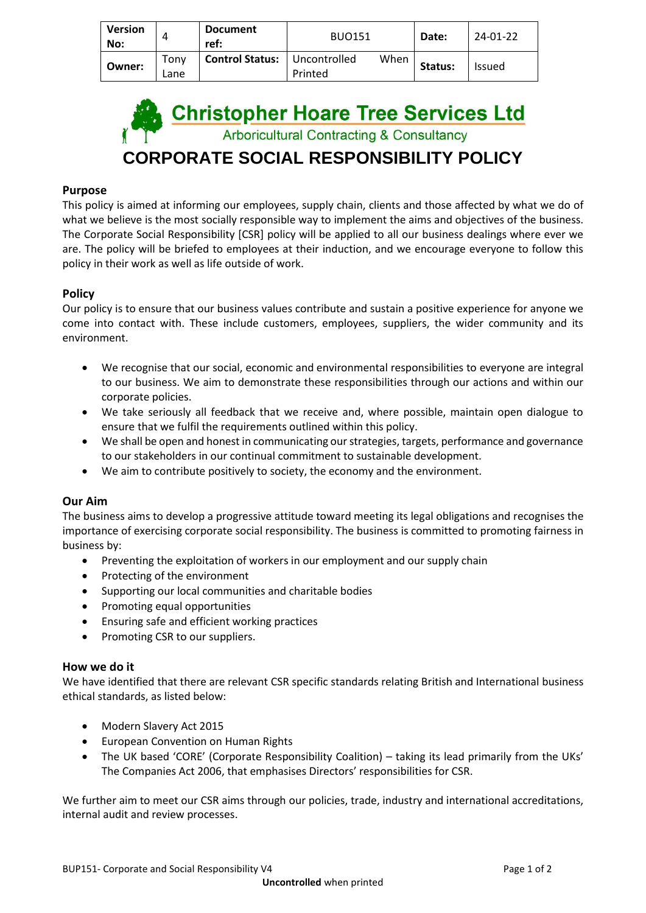| <b>Version</b><br>No: |              | <b>Document</b><br>ref: | <b>BUO151</b>           |      | Date:   | 24-01-22      |
|-----------------------|--------------|-------------------------|-------------------------|------|---------|---------------|
| Owner:                | Tonv<br>Lane | <b>Control Status:</b>  | Uncontrolled<br>Printed | When | Status: | <b>Issued</b> |

**Christopher Hoare Tree Services Ltd**<br>Arboricultural Contracting & Consultancy **CORPORATE SOCIAL RESPONSIBILITY POLICY**

## **Purpose**

This policy is aimed at informing our employees, supply chain, clients and those affected by what we do of what we believe is the most socially responsible way to implement the aims and objectives of the business. The Corporate Social Responsibility [CSR] policy will be applied to all our business dealings where ever we are. The policy will be briefed to employees at their induction, and we encourage everyone to follow this policy in their work as well as life outside of work.

### **Policy**

Our policy is to ensure that our business values contribute and sustain a positive experience for anyone we come into contact with. These include customers, employees, suppliers, the wider community and its environment.

- We recognise that our social, economic and environmental responsibilities to everyone are integral to our business. We aim to demonstrate these responsibilities through our actions and within our corporate policies.
- We take seriously all feedback that we receive and, where possible, maintain open dialogue to ensure that we fulfil the requirements outlined within this policy.
- We shall be open and honest in communicating our strategies, targets, performance and governance to our stakeholders in our continual commitment to sustainable development.
- We aim to contribute positively to society, the economy and the environment.

### **Our Aim**

The business aims to develop a progressive attitude toward meeting its legal obligations and recognises the importance of exercising corporate social responsibility. The business is committed to promoting fairness in business by:

- Preventing the exploitation of workers in our employment and our supply chain
- Protecting of the environment
- Supporting our local communities and charitable bodies
- Promoting equal opportunities
- Ensuring safe and efficient working practices
- Promoting CSR to our suppliers.

### **How we do it**

We have identified that there are relevant CSR specific standards relating British and International business ethical standards, as listed below:

- Modern Slavery Act 2015
- European Convention on Human Rights
- The UK based 'CORE' (Corporate Responsibility Coalition) taking its lead primarily from the UKs' The Companies Act 2006, that emphasises Directors' responsibilities for CSR.

We further aim to meet our CSR aims through our policies, trade, industry and international accreditations, internal audit and review processes.